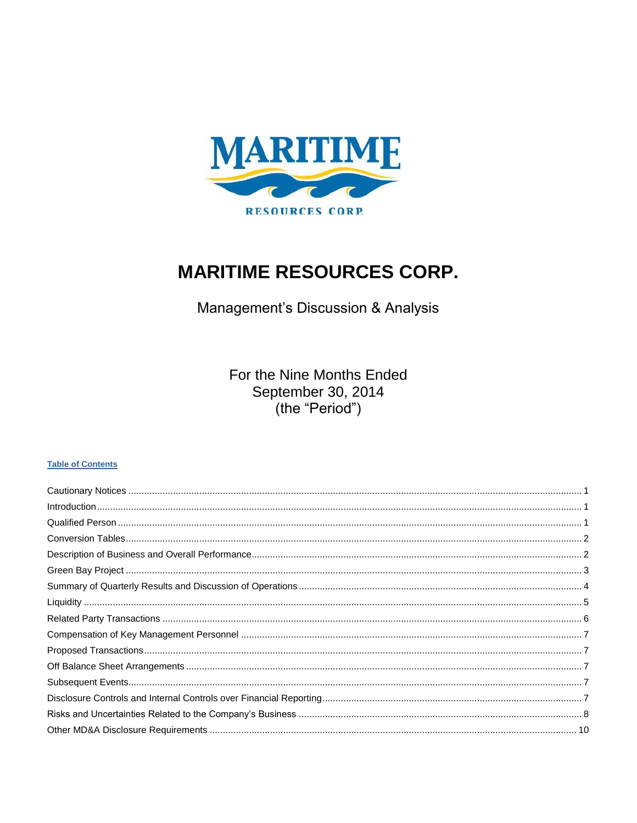

# **MARITIME RESOURCES CORP.**

Management's Discussion & Analysis

For the Nine Months Ended September 30, 2014 (the "Period")

## **Table of Contents**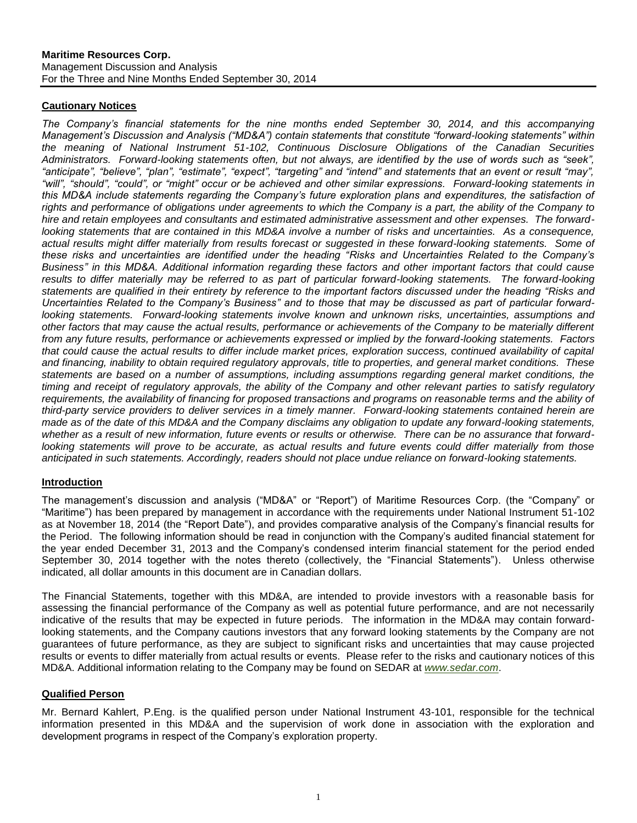## <span id="page-1-0"></span>**Cautionary Notices**

*The Company's financial statements for the nine months ended September 30, 2014, and this accompanying Management's Discussion and Analysis ("MD&A") contain statements that constitute "forward-looking statements" within the meaning of National Instrument 51-102, Continuous Disclosure Obligations of the Canadian Securities Administrators. Forward-looking statements often, but not always, are identified by the use of words such as "seek", "anticipate", "believe", "plan", "estimate", "expect", "targeting" and "intend" and statements that an event or result "may", "will", "should", "could", or "might" occur or be achieved and other similar expressions. Forward-looking statements in this MD&A include statements regarding the Company's future exploration plans and expenditures, the satisfaction of rights and performance of obligations under agreements to which the Company is a part, the ability of the Company to hire and retain employees and consultants and estimated administrative assessment and other expenses. The forward*looking statements that are contained in this MD&A involve a number of risks and uncertainties. As a consequence, *actual results might differ materially from results forecast or suggested in these forward-looking statements. Some of these risks and uncertainties are identified under the heading "Risks and Uncertainties Related to the Company's Business" in this MD&A. Additional information regarding these factors and other important factors that could cause*  results to differ materially may be referred to as part of particular forward-looking statements. The forward-looking *statements are qualified in their entirety by reference to the important factors discussed under the heading "Risks and Uncertainties Related to the Company's Business" and to those that may be discussed as part of particular forwardlooking statements. Forward-looking statements involve known and unknown risks, uncertainties, assumptions and other factors that may cause the actual results, performance or achievements of the Company to be materially different from any future results, performance or achievements expressed or implied by the forward-looking statements. Factors that could cause the actual results to differ include market prices, exploration success, continued availability of capital and financing, inability to obtain required regulatory approvals, title to properties, and general market conditions. These statements are based on a number of assumptions, including assumptions regarding general market conditions, the timing and receipt of regulatory approvals, the ability of the Company and other relevant parties to satisfy regulatory*  requirements, the availability of financing for proposed transactions and programs on reasonable terms and the ability of *third-party service providers to deliver services in a timely manner. Forward-looking statements contained herein are made as of the date of this MD&A and the Company disclaims any obligation to update any forward-looking statements, whether as a result of new information, future events or results or otherwise. There can be no assurance that forward*looking statements will prove to be accurate, as actual results and future events could differ materially from those *anticipated in such statements. Accordingly, readers should not place undue reliance on forward-looking statements.*

#### <span id="page-1-1"></span>**Introduction**

The management's discussion and analysis ("MD&A" or "Report") of Maritime Resources Corp. (the "Company" or "Maritime") has been prepared by management in accordance with the requirements under National Instrument 51-102 as at November 18, 2014 (the "Report Date"), and provides comparative analysis of the Company's financial results for the Period. The following information should be read in conjunction with the Company's audited financial statement for the year ended December 31, 2013 and the Company's condensed interim financial statement for the period ended September 30, 2014 together with the notes thereto (collectively, the "Financial Statements"). Unless otherwise indicated, all dollar amounts in this document are in Canadian dollars.

The Financial Statements, together with this MD&A, are intended to provide investors with a reasonable basis for assessing the financial performance of the Company as well as potential future performance, and are not necessarily indicative of the results that may be expected in future periods. The information in the MD&A may contain forwardlooking statements, and the Company cautions investors that any forward looking statements by the Company are not guarantees of future performance, as they are subject to significant risks and uncertainties that may cause projected results or events to differ materially from actual results or events. Please refer to the risks and cautionary notices of this MD&A. Additional information relating to the Company may be found on SEDAR at *[www.sedar.com](http://www.sedar.com/)*.

#### <span id="page-1-2"></span>**Qualified Person**

Mr. Bernard Kahlert, P.Eng. is the qualified person under National Instrument 43-101, responsible for the technical information presented in this MD&A and the supervision of work done in association with the exploration and development programs in respect of the Company's exploration property.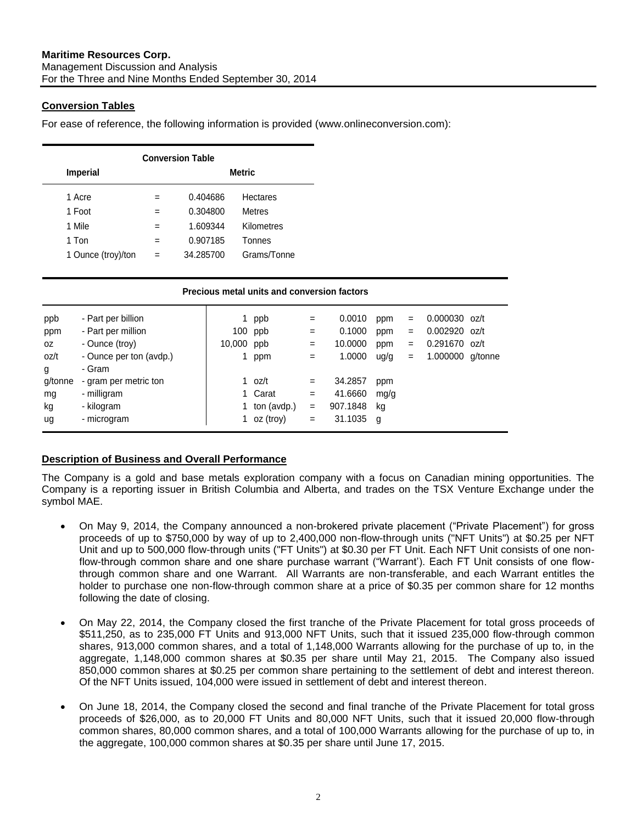## <span id="page-2-0"></span>**Conversion Tables**

For ease of reference, the following information is provided (www.onlineconversion.com):

| <b>Conversion Table</b> |               |           |                 |  |  |  |  |  |  |
|-------------------------|---------------|-----------|-----------------|--|--|--|--|--|--|
| <b>Imperial</b>         | <b>Metric</b> |           |                 |  |  |  |  |  |  |
| 1 Acre                  |               | 0.404686  | <b>Hectares</b> |  |  |  |  |  |  |
| 1 Foot                  |               | 0.304800  | <b>Metres</b>   |  |  |  |  |  |  |
| 1 Mile                  | =             | 1.609344  | Kilometres      |  |  |  |  |  |  |
| 1 Ton                   | $=$           | 0.907185  | Tonnes          |  |  |  |  |  |  |
| 1 Ounce (troy)/ton      | =             | 34.285700 | Grams/Tonne     |  |  |  |  |  |  |

| Precious metal units and conversion factors |                                                            |                     |                   |                   |                             |                   |                   |                                                     |         |
|---------------------------------------------|------------------------------------------------------------|---------------------|-------------------|-------------------|-----------------------------|-------------------|-------------------|-----------------------------------------------------|---------|
| ppb<br>ppm<br>0Z                            | - Part per billion<br>- Part per million<br>- Ounce (troy) | 1.<br>100<br>10,000 | ppb<br>ppb<br>ppb | $=$<br>$=$<br>$=$ | 0.0010<br>0.1000<br>10.0000 | ppm<br>ppm<br>ppm | $=$<br>$=$<br>$=$ | $0.000030$ oz/t<br>0.002920 oz/t<br>$0.291670$ oz/t |         |
| oz/t<br>g                                   | - Ounce per ton (avdp.)<br>- Gram                          |                     | ppm               | $=$               | 1.0000                      | ug/g              | $=$               | 1.000000                                            | g/tonne |
| g/tonne                                     | - gram per metric ton                                      |                     | 1 $oz/t$          | $=$               | 34.2857                     | ppm               |                   |                                                     |         |
| mg                                          | - milligram                                                |                     | 1 Carat           | $=$               | 41.6660                     | mg/g              |                   |                                                     |         |
| kg                                          | - kilogram                                                 |                     | ton (avdp.)       | $=$               | 907.1848                    | kg                |                   |                                                     |         |
| ug                                          | - microgram                                                |                     | 1 oz (troy)       | $=$               | 31.1035                     | g                 |                   |                                                     |         |

## <span id="page-2-1"></span>**Description of Business and Overall Performance**

The Company is a gold and base metals exploration company with a focus on Canadian mining opportunities. The Company is a reporting issuer in British Columbia and Alberta, and trades on the TSX Venture Exchange under the symbol MAE.

- On May 9, 2014, the Company announced a non-brokered private placement ("Private Placement") for gross proceeds of up to \$750,000 by way of up to 2,400,000 non-flow-through units ("NFT Units") at \$0.25 per NFT Unit and up to 500,000 flow-through units ("FT Units") at \$0.30 per FT Unit. Each NFT Unit consists of one nonflow-through common share and one share purchase warrant ("Warrant'). Each FT Unit consists of one flowthrough common share and one Warrant. All Warrants are non-transferable, and each Warrant entitles the holder to purchase one non-flow-through common share at a price of \$0.35 per common share for 12 months following the date of closing.
- On May 22, 2014, the Company closed the first tranche of the Private Placement for total gross proceeds of \$511,250, as to 235,000 FT Units and 913,000 NFT Units, such that it issued 235,000 flow-through common shares, 913,000 common shares, and a total of 1,148,000 Warrants allowing for the purchase of up to, in the aggregate, 1,148,000 common shares at \$0.35 per share until May 21, 2015. The Company also issued 850,000 common shares at \$0.25 per common share pertaining to the settlement of debt and interest thereon. Of the NFT Units issued, 104,000 were issued in settlement of debt and interest thereon.
- On June 18, 2014, the Company closed the second and final tranche of the Private Placement for total gross proceeds of \$26,000, as to 20,000 FT Units and 80,000 NFT Units, such that it issued 20,000 flow-through common shares, 80,000 common shares, and a total of 100,000 Warrants allowing for the purchase of up to, in the aggregate, 100,000 common shares at \$0.35 per share until June 17, 2015.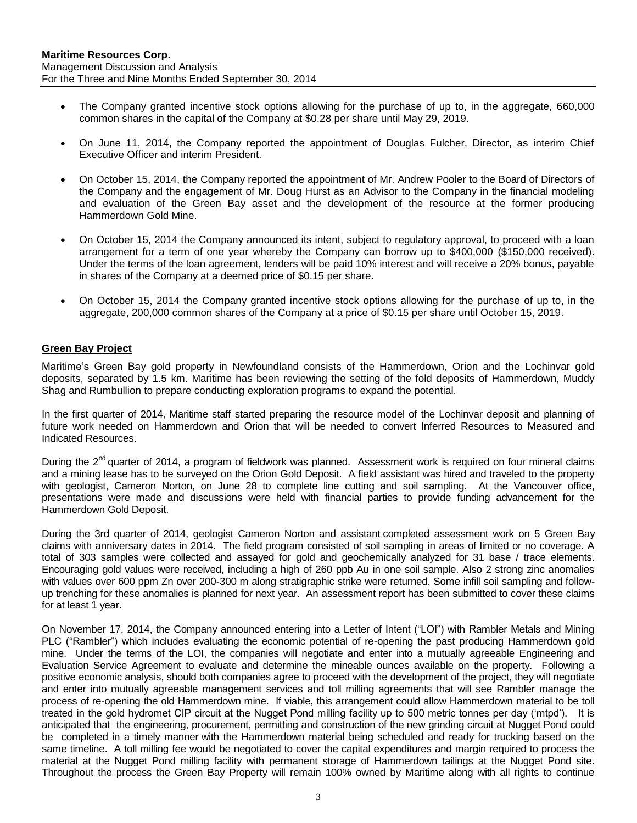- The Company granted incentive stock options allowing for the purchase of up to, in the aggregate, 660,000 common shares in the capital of the Company at \$0.28 per share until May 29, 2019.
- On June 11, 2014, the Company reported the appointment of Douglas Fulcher, Director, as interim Chief Executive Officer and interim President.
- On October 15, 2014, the Company reported the appointment of Mr. Andrew Pooler to the Board of Directors of the Company and the engagement of Mr. Doug Hurst as an Advisor to the Company in the financial modeling and evaluation of the Green Bay asset and the development of the resource at the former producing Hammerdown Gold Mine.
- On October 15, 2014 the Company announced its intent, subject to regulatory approval, to proceed with a loan arrangement for a term of one year whereby the Company can borrow up to \$400,000 (\$150,000 received). Under the terms of the loan agreement, lenders will be paid 10% interest and will receive a 20% bonus, payable in shares of the Company at a deemed price of \$0.15 per share.
- On October 15, 2014 the Company granted incentive stock options allowing for the purchase of up to, in the aggregate, 200,000 common shares of the Company at a price of \$0.15 per share until October 15, 2019.

## <span id="page-3-0"></span>**Green Bay Project**

Maritime's Green Bay gold property in Newfoundland consists of the Hammerdown, Orion and the Lochinvar gold deposits, separated by 1.5 km. Maritime has been reviewing the setting of the fold deposits of Hammerdown, Muddy Shag and Rumbullion to prepare conducting exploration programs to expand the potential.

In the first quarter of 2014, Maritime staff started preparing the resource model of the Lochinvar deposit and planning of future work needed on Hammerdown and Orion that will be needed to convert Inferred Resources to Measured and Indicated Resources.

During the  $2^{nd}$  quarter of 2014, a program of fieldwork was planned. Assessment work is required on four mineral claims and a mining lease has to be surveyed on the Orion Gold Deposit. A field assistant was hired and traveled to the property with geologist, Cameron Norton, on June 28 to complete line cutting and soil sampling. At the Vancouver office, presentations were made and discussions were held with financial parties to provide funding advancement for the Hammerdown Gold Deposit.

During the 3rd quarter of 2014, geologist Cameron Norton and assistant completed assessment work on 5 Green Bay claims with anniversary dates in 2014. The field program consisted of soil sampling in areas of limited or no coverage. A total of 303 samples were collected and assayed for gold and geochemically analyzed for 31 base / trace elements. Encouraging gold values were received, including a high of 260 ppb Au in one soil sample. Also 2 strong zinc anomalies with values over 600 ppm Zn over 200-300 m along stratigraphic strike were returned. Some infill soil sampling and followup trenching for these anomalies is planned for next year. An assessment report has been submitted to cover these claims for at least 1 year.

On November 17, 2014, the Company announced entering into a Letter of Intent ("LOI") with Rambler Metals and Mining PLC ("Rambler") which includes evaluating the economic potential of re-opening the past producing Hammerdown gold mine. Under the terms of the LOI, the companies will negotiate and enter into a mutually agreeable Engineering and Evaluation Service Agreement to evaluate and determine the mineable ounces available on the property. Following a positive economic analysis, should both companies agree to proceed with the development of the project, they will negotiate and enter into mutually agreeable management services and toll milling agreements that will see Rambler manage the process of re-opening the old Hammerdown mine. If viable, this arrangement could allow Hammerdown material to be toll treated in the gold hydromet CIP circuit at the Nugget Pond milling facility up to 500 metric tonnes per day ('mtpd'). It is anticipated that the engineering, procurement, permitting and construction of the new grinding circuit at Nugget Pond could be completed in a timely manner with the Hammerdown material being scheduled and ready for trucking based on the same timeline. A toll milling fee would be negotiated to cover the capital expenditures and margin required to process the material at the Nugget Pond milling facility with permanent storage of Hammerdown tailings at the Nugget Pond site. Throughout the process the Green Bay Property will remain 100% owned by Maritime along with all rights to continue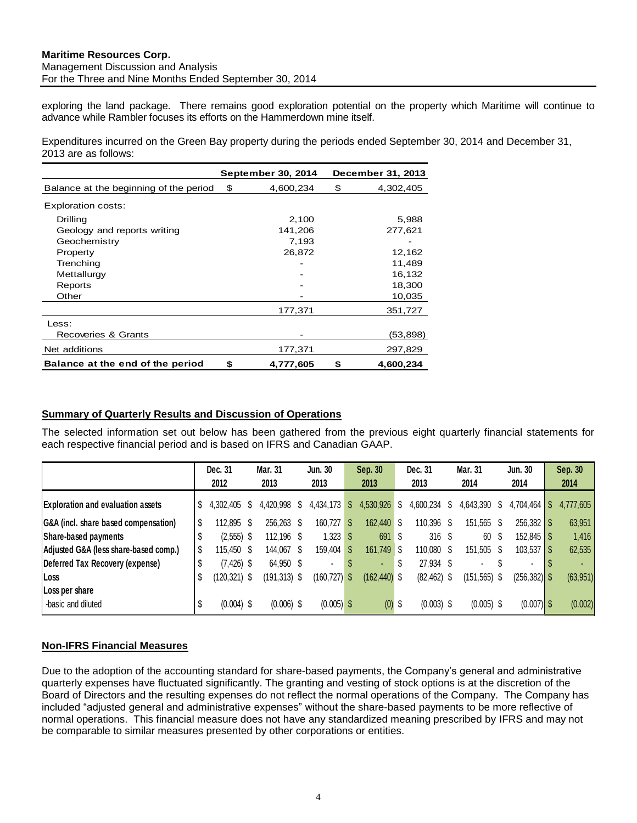exploring the land package. There remains good exploration potential on the property which Maritime will continue to advance while Rambler focuses its efforts on the Hammerdown mine itself.

Expenditures incurred on the Green Bay property during the periods ended September 30, 2014 and December 31, 2013 are as follows:

|                                        |     | September 30, 2014 | December 31, 2013 |
|----------------------------------------|-----|--------------------|-------------------|
| Balance at the beginning of the period | \$. | 4,600,234          | \$<br>4,302,405   |
| Exploration costs:                     |     |                    |                   |
| Drilling                               |     | 2,100              | 5,988             |
| Geology and reports writing            |     | 141,206            | 277,621           |
| Geochemistry                           |     | 7,193              |                   |
| Property                               |     | 26,872             | 12,162            |
| Trenching                              |     |                    | 11,489            |
| Mettallurgy                            |     |                    | 16,132            |
| Reports                                |     |                    | 18,300            |
| Other                                  |     |                    | 10,035            |
|                                        |     | 177,371            | 351,727           |
| Less:                                  |     |                    |                   |
| Recoveries & Grants                    |     |                    | (53,898)          |
| Net additions                          |     | 177,371            | 297,829           |
| Balance at the end of the period       | \$  | 4,777,605          | \$<br>4.600.234   |

## <span id="page-4-0"></span>**Summary of Quarterly Results and Discussion of Operations**

The selected information set out below has been gathered from the previous eight quarterly financial statements for each respective financial period and is based on IFRS and Canadian GAAP.

|                                          |    | Dec. 31<br>2012 |   | Mar. 31<br>2013 |   | Jun. 30<br>2013 |   | Sep. 30<br>2013 |     | Dec. 31<br>2013  |      | Mar. 31<br>2014 | Jun. 30<br>2014 | Sep. 30<br>2014 |
|------------------------------------------|----|-----------------|---|-----------------|---|-----------------|---|-----------------|-----|------------------|------|-----------------|-----------------|-----------------|
| <b>Exploration and evaluation assets</b> | \$ | 4,302,405       |   | 4,420,998       | Ъ | 4,434,173       | S | 4,530,926       | S   | 4,600,234        | P.   | 4,643,390       |                 | 4,777,605       |
| G&A (incl. share based compensation)     | S  | 112,895         | S | 256,263 \$      |   | 160,727         | S | 162,440 \$      |     | 110,396          | S.   | 151,565 \$      |                 | 63,951          |
| Share-based payments                     |    | $(2,555)$ \$    |   | 112,196 \$      |   | $1,323$ \$      |   | 691             | - S | 316 <sup>°</sup> |      | 60              |                 | 1,416           |
| Adjusted G&A (less share-based comp.)    |    | 115.450 \$      |   | 144,067 \$      |   | 159,404         | S | 161,749 \$      |     | 110,080          | - \$ | 151,505 \$      |                 | 62,535          |
| Deferred Tax Recovery (expense)          | \$ | $(7, 426)$ \$   |   | 64,950 \$       |   |                 | S |                 | S   | 27,934           |      | ۰               | ۰               |                 |
| Loss                                     | Ş  | $(120, 321)$ \$ |   | $(191, 313)$ \$ |   | $(160, 727)$ \$ |   | $(162, 440)$ \$ |     | $(82, 462)$ \$   |      | $(151, 565)$ \$ | $(256, 382)$ \$ | (63, 951)       |
| Loss per share                           |    |                 |   |                 |   |                 |   |                 |     |                  |      |                 |                 |                 |
| -basic and diluted                       |    | $(0.004)$ \$    |   | $(0.006)$ \$    |   | $(0.005)$ \$    |   | $(0)$ \$        |     | $(0.003)$ \$     |      | $(0.005)$ \$    | $(0.007)$ \$    | (0.002)         |

# **Non-IFRS Financial Measures**

Due to the adoption of the accounting standard for share-based payments, the Company's general and administrative quarterly expenses have fluctuated significantly. The granting and vesting of stock options is at the discretion of the Board of Directors and the resulting expenses do not reflect the normal operations of the Company. The Company has included "adjusted general and administrative expenses" without the share-based payments to be more reflective of normal operations. This financial measure does not have any standardized meaning prescribed by IFRS and may not be comparable to similar measures presented by other corporations or entities.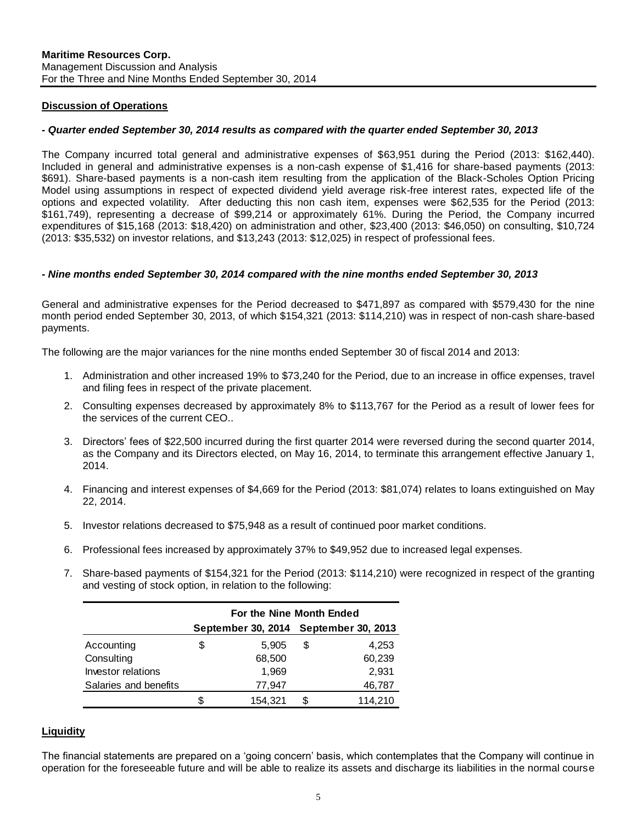#### **Discussion of Operations**

#### *- Quarter ended September 30, 2014 results as compared with the quarter ended September 30, 2013*

The Company incurred total general and administrative expenses of \$63,951 during the Period (2013: \$162,440). Included in general and administrative expenses is a non-cash expense of \$1,416 for share-based payments (2013: \$691). Share-based payments is a non-cash item resulting from the application of the Black-Scholes Option Pricing Model using assumptions in respect of expected dividend yield average risk-free interest rates, expected life of the options and expected volatility. After deducting this non cash item, expenses were \$62,535 for the Period (2013: \$161,749), representing a decrease of \$99,214 or approximately 61%. During the Period, the Company incurred expenditures of \$15,168 (2013: \$18,420) on administration and other, \$23,400 (2013: \$46,050) on consulting, \$10,724 (2013: \$35,532) on investor relations, and \$13,243 (2013: \$12,025) in respect of professional fees.

#### *- Nine months ended September 30, 2014 compared with the nine months ended September 30, 2013*

General and administrative expenses for the Period decreased to \$471,897 as compared with \$579,430 for the nine month period ended September 30, 2013, of which \$154,321 (2013: \$114,210) was in respect of non-cash share-based payments.

The following are the major variances for the nine months ended September 30 of fiscal 2014 and 2013:

- 1. Administration and other increased 19% to \$73,240 for the Period, due to an increase in office expenses, travel and filing fees in respect of the private placement.
- 2. Consulting expenses decreased by approximately 8% to \$113,767 for the Period as a result of lower fees for the services of the current CEO..
- 3. Directors' fees of \$22,500 incurred during the first quarter 2014 were reversed during the second quarter 2014, as the Company and its Directors elected, on May 16, 2014, to terminate this arrangement effective January 1, 2014.
- 4. Financing and interest expenses of \$4,669 for the Period (2013: \$81,074) relates to loans extinguished on May 22, 2014.
- 5. Investor relations decreased to \$75,948 as a result of continued poor market conditions.
- 6. Professional fees increased by approximately 37% to \$49,952 due to increased legal expenses.
- 7. Share-based payments of \$154,321 for the Period (2013: \$114,210) were recognized in respect of the granting and vesting of stock option, in relation to the following:

|                                                                                                                                | For the Nine Month Ended |   |                                       |  |  |  |
|--------------------------------------------------------------------------------------------------------------------------------|--------------------------|---|---------------------------------------|--|--|--|
|                                                                                                                                |                          |   | September 30, 2014 September 30, 2013 |  |  |  |
| Accounting                                                                                                                     | \$<br>5.905              | S | 4.253                                 |  |  |  |
| Consulting                                                                                                                     | 68,500                   |   | 60,239                                |  |  |  |
| Investor relations                                                                                                             | 1.969                    |   | 2.931                                 |  |  |  |
| Salaries and benefits                                                                                                          | 77,947                   |   | 46,787                                |  |  |  |
|                                                                                                                                | 154,321                  | S | 114,210                               |  |  |  |
|                                                                                                                                |                          |   |                                       |  |  |  |
| <b>Liquidity</b>                                                                                                               |                          |   |                                       |  |  |  |
|                                                                                                                                |                          |   |                                       |  |  |  |
| The financial statements are prepared on a 'going concern' basis, which contemplates that the Company will continue in         |                          |   |                                       |  |  |  |
| operation for the foreseeable future and will be able to realize its assets and discharge its liabilities in the normal course |                          |   |                                       |  |  |  |

## <span id="page-5-0"></span>**Liquidity**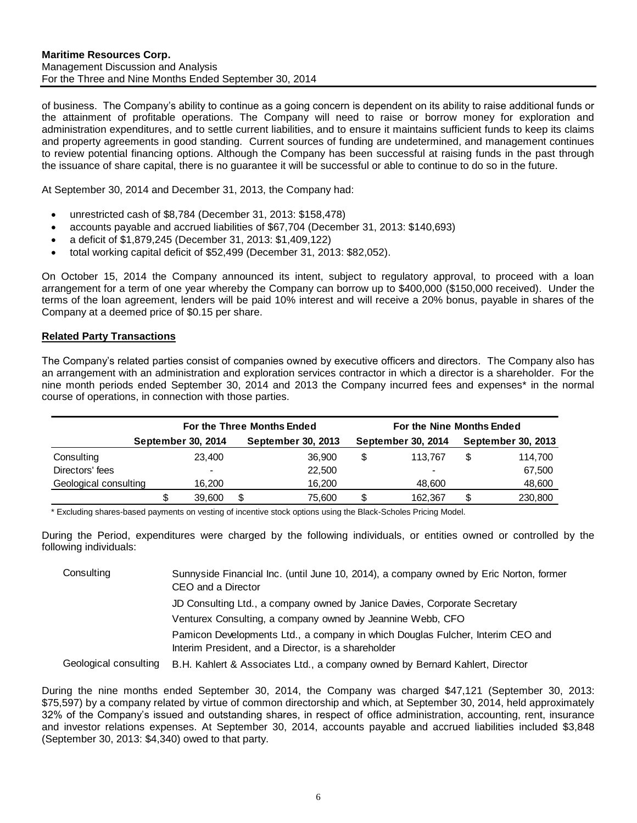of business. The Company's ability to continue as a going concern is dependent on its ability to raise additional funds or the attainment of profitable operations. The Company will need to raise or borrow money for exploration and administration expenditures, and to settle current liabilities, and to ensure it maintains sufficient funds to keep its claims and property agreements in good standing. Current sources of funding are undetermined, and management continues to review potential financing options. Although the Company has been successful at raising funds in the past through the issuance of share capital, there is no guarantee it will be successful or able to continue to do so in the future.

At September 30, 2014 and December 31, 2013, the Company had:

- unrestricted cash of \$8,784 (December 31, 2013: \$158,478)
- accounts payable and accrued liabilities of \$67,704 (December 31, 2013: \$140,693)
- a deficit of \$1,879,245 (December 31, 2013: \$1,409,122)
- total working capital deficit of \$52,499 (December 31, 2013: \$82,052).

On October 15, 2014 the Company announced its intent, subject to regulatory approval, to proceed with a loan arrangement for a term of one year whereby the Company can borrow up to \$400,000 (\$150,000 received). Under the terms of the loan agreement, lenders will be paid 10% interest and will receive a 20% bonus, payable in shares of the Company at a deemed price of \$0.15 per share.

#### <span id="page-6-0"></span>**Related Party Transactions**

The Company's related parties consist of companies owned by executive officers and directors. The Company also has an arrangement with an administration and exploration services contractor in which a director is a shareholder. For the nine month periods ended September 30, 2014 and 2013 the Company incurred fees and expenses\* in the normal course of operations, in connection with those parties.

|                       | For the Three Months Ended |                    | For the Nine Months Ended |                    |  |                    |  |  |
|-----------------------|----------------------------|--------------------|---------------------------|--------------------|--|--------------------|--|--|
|                       | September 30, 2014         | September 30, 2013 |                           | September 30, 2014 |  | September 30, 2013 |  |  |
| Consulting            | 23,400                     | 36,900             | \$                        | 113.767            |  | 114.700            |  |  |
| Directors' fees       |                            | 22,500             |                           | $\blacksquare$     |  | 67,500             |  |  |
| Geological consulting | 16,200                     | 16.200             |                           | 48,600             |  | 48,600             |  |  |
|                       | 39,600                     | \$<br>75.600       | \$                        | 162.367            |  | 230,800            |  |  |

\* Excluding shares-based payments on vesting of incentive stock options using the Black-Scholes Pricing Model.

During the Period, expenditures were charged by the following individuals, or entities owned or controlled by the following individuals:

| Consulting            | Sunnyside Financial Inc. (until June 10, 2014), a company owned by Eric Norton, former<br>CEO and a Director                          |
|-----------------------|---------------------------------------------------------------------------------------------------------------------------------------|
|                       | JD Consulting Ltd., a company owned by Janice Davies, Corporate Secretary                                                             |
|                       | Venturex Consulting, a company owned by Jeannine Webb, CFO                                                                            |
|                       | Pamicon Developments Ltd., a company in which Douglas Fulcher, Interim CEO and<br>Interim President, and a Director, is a shareholder |
| Geological consulting | B.H. Kahlert & Associates Ltd., a company owned by Bernard Kahlert, Director                                                          |

During the nine months ended September 30, 2014, the Company was charged \$47,121 (September 30, 2013: \$75,597) by a company related by virtue of common directorship and which, at September 30, 2014, held approximately 32% of the Company's issued and outstanding shares, in respect of office administration, accounting, rent, insurance and investor relations expenses. At September 30, 2014, accounts payable and accrued liabilities included \$3,848 (September 30, 2013: \$4,340) owed to that party.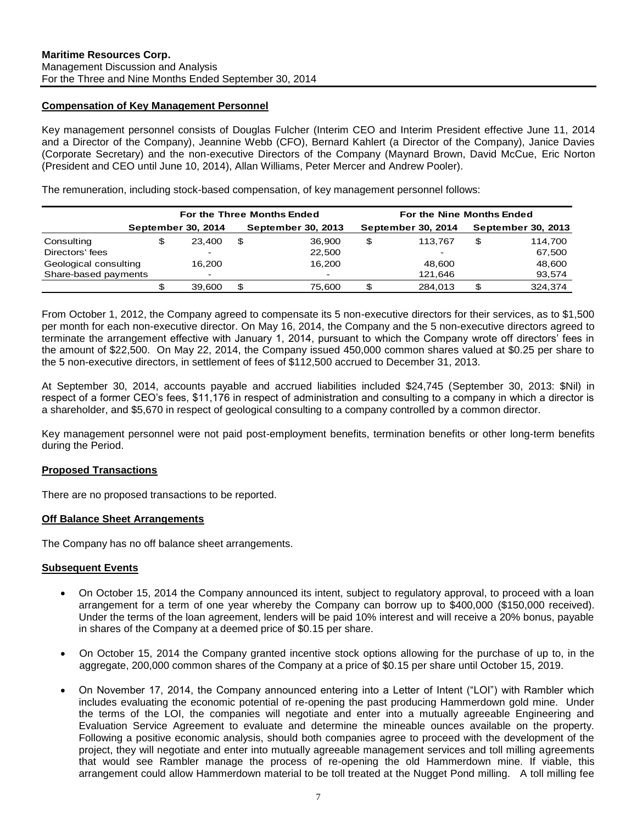#### <span id="page-7-0"></span>**Compensation of Key Management Personnel**

Key management personnel consists of Douglas Fulcher (Interim CEO and Interim President effective June 11, 2014 and a Director of the Company), Jeannine Webb (CFO), Bernard Kahlert (a Director of the Company), Janice Davies (Corporate Secretary) and the non-executive Directors of the Company (Maynard Brown, David McCue, Eric Norton (President and CEO until June 10, 2014), Allan Williams, Peter Mercer and Andrew Pooler).

The remuneration, including stock-based compensation, of key management personnel follows:

|                       |                          |   | For the Three Months Ended | For the Nine Months Ended |                           |                    |         |  |  |
|-----------------------|--------------------------|---|----------------------------|---------------------------|---------------------------|--------------------|---------|--|--|
|                       | September 30, 2014       |   | September 30, 2013         |                           | <b>September 30, 2014</b> | September 30, 2013 |         |  |  |
| Consulting            | 23.400                   | S | 36.900                     | \$                        | 113.767                   | S                  | 114.700 |  |  |
| Directors' fees       |                          |   | 22,500                     |                           | $\overline{\phantom{a}}$  |                    | 67,500  |  |  |
| Geological consulting | 16.200                   |   | 16,200                     |                           | 48.600                    |                    | 48,600  |  |  |
| Share-based payments  | $\overline{\phantom{0}}$ |   | $\blacksquare$             |                           | 121,646                   |                    | 93,574  |  |  |
|                       | 39,600                   | S | 75.600                     |                           | 284.013                   | £.                 | 324.374 |  |  |

From October 1, 2012, the Company agreed to compensate its 5 non-executive directors for their services, as to \$1,500 per month for each non-executive director. On May 16, 2014, the Company and the 5 non-executive directors agreed to terminate the arrangement effective with January 1, 2014, pursuant to which the Company wrote off directors' fees in the amount of \$22,500. On May 22, 2014, the Company issued 450,000 common shares valued at \$0.25 per share to the 5 non-executive directors, in settlement of fees of \$112,500 accrued to December 31, 2013.

At September 30, 2014, accounts payable and accrued liabilities included \$24,745 (September 30, 2013: \$Nil) in respect of a former CEO's fees, \$11,176 in respect of administration and consulting to a company in which a director is a shareholder, and \$5,670 in respect of geological consulting to a company controlled by a common director.

Key management personnel were not paid post-employment benefits, termination benefits or other long-term benefits during the Period.

#### <span id="page-7-1"></span>**Proposed Transactions**

<span id="page-7-2"></span>There are no proposed transactions to be reported.

#### **Off Balance Sheet Arrangements**

<span id="page-7-3"></span>The Company has no off balance sheet arrangements.

#### **Subsequent Events**

- <span id="page-7-4"></span> On October 15, 2014 the Company announced its intent, subject to regulatory approval, to proceed with a loan arrangement for a term of one year whereby the Company can borrow up to \$400,000 (\$150,000 received). Under the terms of the loan agreement, lenders will be paid 10% interest and will receive a 20% bonus, payable in shares of the Company at a deemed price of \$0.15 per share.
- On October 15, 2014 the Company granted incentive stock options allowing for the purchase of up to, in the aggregate, 200,000 common shares of the Company at a price of \$0.15 per share until October 15, 2019.
- On November 17, 2014, the Company announced entering into a Letter of Intent ("LOI") with Rambler which includes evaluating the economic potential of re-opening the past producing Hammerdown gold mine. Under the terms of the LOI, the companies will negotiate and enter into a mutually agreeable Engineering and Evaluation Service Agreement to evaluate and determine the mineable ounces available on the property. Following a positive economic analysis, should both companies agree to proceed with the development of the project, they will negotiate and enter into mutually agreeable management services and toll milling agreements that would see Rambler manage the process of re-opening the old Hammerdown mine. If viable, this **Experience on Could allow Hammerdown materials are experience to the Nugget Pond milling and the September 30, 2014<br>
Factors (Fig. 10) a section of the Nugget Pond million of the Nugget Pond million of the Nugget Pond mil**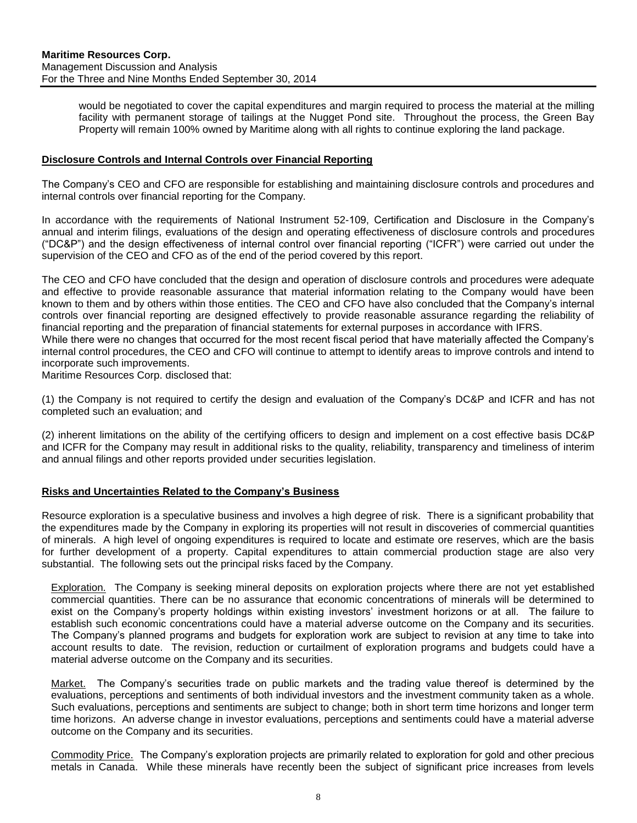would be negotiated to cover the capital expenditures and margin required to process the material at the milling facility with permanent storage of tailings at the Nugget Pond site. Throughout the process, the Green Bay Property will remain 100% owned by Maritime along with all rights to continue exploring the land package.

#### **Disclosure Controls and Internal Controls over Financial Reporting**

The Company's CEO and CFO are responsible for establishing and maintaining disclosure controls and procedures and internal controls over financial reporting for the Company.

In accordance with the requirements of National Instrument 52-109, Certification and Disclosure in the Company's annual and interim filings, evaluations of the design and operating effectiveness of disclosure controls and procedures ("DC&P") and the design effectiveness of internal control over financial reporting ("ICFR") were carried out under the supervision of the CEO and CFO as of the end of the period covered by this report.

The CEO and CFO have concluded that the design and operation of disclosure controls and procedures were adequate and effective to provide reasonable assurance that material information relating to the Company would have been known to them and by others within those entities. The CEO and CFO have also concluded that the Company's internal controls over financial reporting are designed effectively to provide reasonable assurance regarding the reliability of financial reporting and the preparation of financial statements for external purposes in accordance with IFRS. While there were no changes that occurred for the most recent fiscal period that have materially affected the Company's internal control procedures, the CEO and CFO will continue to attempt to identify areas to improve controls and intend to

incorporate such improvements.

Maritime Resources Corp. disclosed that:

(1) the Company is not required to certify the design and evaluation of the Company's DC&P and ICFR and has not completed such an evaluation; and

(2) inherent limitations on the ability of the certifying officers to design and implement on a cost effective basis DC&P and ICFR for the Company may result in additional risks to the quality, reliability, transparency and timeliness of interim and annual filings and other reports provided under securities legislation.

#### <span id="page-8-0"></span>**Risks and Uncertainties Related to the Company's Business**

Resource exploration is a speculative business and involves a high degree of risk. There is a significant probability that the expenditures made by the Company in exploring its properties will not result in discoveries of commercial quantities of minerals. A high level of ongoing expenditures is required to locate and estimate ore reserves, which are the basis for further development of a property. Capital expenditures to attain commercial production stage are also very substantial. The following sets out the principal risks faced by the Company.

Exploration.The Company is seeking mineral deposits on exploration projects where there are not yet established commercial quantities. There can be no assurance that economic concentrations of minerals will be determined to exist on the Company's property holdings within existing investors' investment horizons or at all. The failure to establish such economic concentrations could have a material adverse outcome on the Company and its securities. The Company's planned programs and budgets for exploration work are subject to revision at any time to take into account results to date. The revision, reduction or curtailment of exploration programs and budgets could have a material adverse outcome on the Company and its securities.

Market.The Company's securities trade on public markets and the trading value thereof is determined by the evaluations, perceptions and sentiments of both individual investors and the investment community taken as a whole. Such evaluations, perceptions and sentiments are subject to change; both in short term time horizons and longer term time horizons. An adverse change in investor evaluations, perceptions and sentiments could have a material adverse outcome on the Company and its securities.

Commodity Price.The Company's exploration projects are primarily related to exploration for gold and other precious metals in Canada. While these minerals have recently been the subject of significant price increases from levels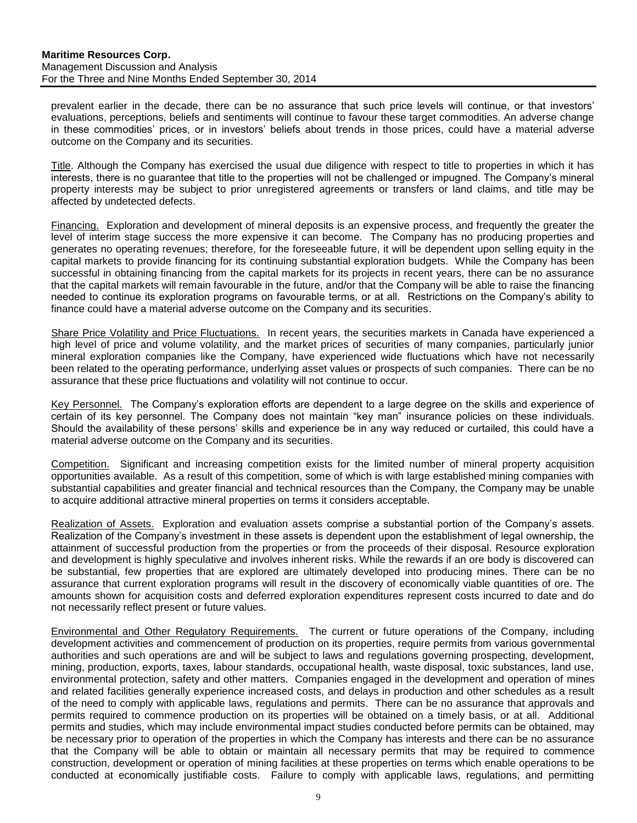prevalent earlier in the decade, there can be no assurance that such price levels will continue, or that investors' evaluations, perceptions, beliefs and sentiments will continue to favour these target commodities. An adverse change in these commodities' prices, or in investors' beliefs about trends in those prices, could have a material adverse outcome on the Company and its securities.

Title. Although the Company has exercised the usual due diligence with respect to title to properties in which it has interests, there is no guarantee that title to the properties will not be challenged or impugned. The Company's mineral property interests may be subject to prior unregistered agreements or transfers or land claims, and title may be affected by undetected defects.

Financing.Exploration and development of mineral deposits is an expensive process, and frequently the greater the level of interim stage success the more expensive it can become. The Company has no producing properties and generates no operating revenues; therefore, for the foreseeable future, it will be dependent upon selling equity in the capital markets to provide financing for its continuing substantial exploration budgets. While the Company has been successful in obtaining financing from the capital markets for its projects in recent years, there can be no assurance that the capital markets will remain favourable in the future, and/or that the Company will be able to raise the financing needed to continue its exploration programs on favourable terms, or at all. Restrictions on the Company's ability to finance could have a material adverse outcome on the Company and its securities.

Share Price Volatility and Price Fluctuations.In recent years, the securities markets in Canada have experienced a high level of price and volume volatility, and the market prices of securities of many companies, particularly junior mineral exploration companies like the Company, have experienced wide fluctuations which have not necessarily been related to the operating performance, underlying asset values or prospects of such companies. There can be no assurance that these price fluctuations and volatility will not continue to occur.

Key Personnel.The Company's exploration efforts are dependent to a large degree on the skills and experience of certain of its key personnel. The Company does not maintain "key man" insurance policies on these individuals. Should the availability of these persons' skills and experience be in any way reduced or curtailed, this could have a material adverse outcome on the Company and its securities.

Competition.Significant and increasing competition exists for the limited number of mineral property acquisition opportunities available. As a result of this competition, some of which is with large established mining companies with substantial capabilities and greater financial and technical resources than the Company, the Company may be unable to acquire additional attractive mineral properties on terms it considers acceptable.

Realization of Assets. Exploration and evaluation assets comprise a substantial portion of the Company's assets. Realization of the Company's investment in these assets is dependent upon the establishment of legal ownership, the attainment of successful production from the properties or from the proceeds of their disposal. Resource exploration and development is highly speculative and involves inherent risks. While the rewards if an ore body is discovered can be substantial, few properties that are explored are ultimately developed into producing mines. There can be no assurance that current exploration programs will result in the discovery of economically viable quantities of ore. The amounts shown for acquisition costs and deferred exploration expenditures represent costs incurred to date and do not necessarily reflect present or future values.

Environmental and Other Regulatory Requirements.The current or future operations of the Company, including development activities and commencement of production on its properties, require permits from various governmental authorities and such operations are and will be subject to laws and regulations governing prospecting, development, mining, production, exports, taxes, labour standards, occupational health, waste disposal, toxic substances, land use, environmental protection, safety and other matters. Companies engaged in the development and operation of mines and related facilities generally experience increased costs, and delays in production and other schedules as a result of the need to comply with applicable laws, regulations and permits. There can be no assurance that approvals and permits required to commence production on its properties will be obtained on a timely basis, or at all. Additional permits and studies, which may include environmental impact studies conducted before permits can be obtained, may be necessary prior to operation of the properties in which the Company has interests and there can be no assurance that the Company will be able to obtain or maintain all necessary permits that may be required to commence construction, development or operation of mining facilities at these properties on terms which enable operations to be conducted at economically justifiable costs. Failure to comply with applicable laws, regulations, and permitting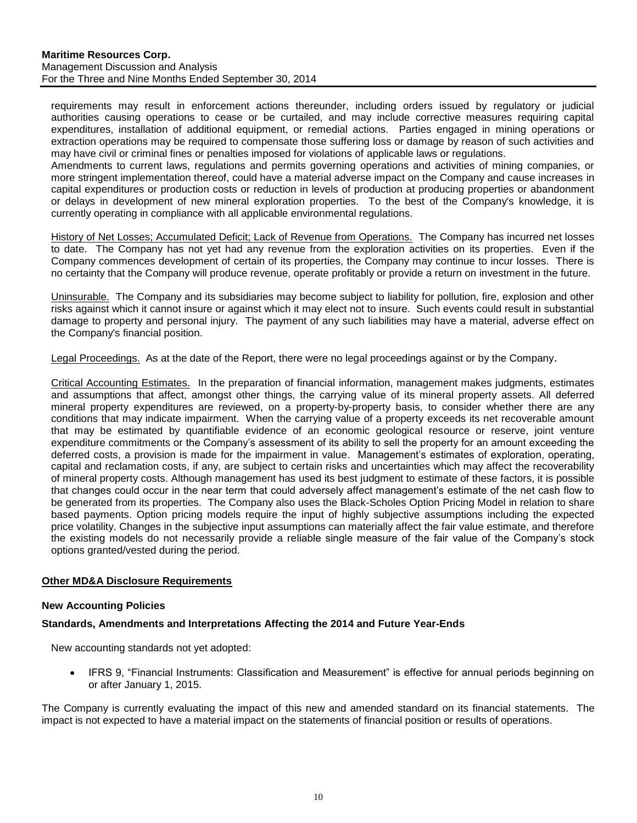requirements may result in enforcement actions thereunder, including orders issued by regulatory or judicial authorities causing operations to cease or be curtailed, and may include corrective measures requiring capital expenditures, installation of additional equipment, or remedial actions. Parties engaged in mining operations or extraction operations may be required to compensate those suffering loss or damage by reason of such activities and may have civil or criminal fines or penalties imposed for violations of applicable laws or regulations.

Amendments to current laws, regulations and permits governing operations and activities of mining companies, or more stringent implementation thereof, could have a material adverse impact on the Company and cause increases in capital expenditures or production costs or reduction in levels of production at producing properties or abandonment or delays in development of new mineral exploration properties. To the best of the Company's knowledge, it is currently operating in compliance with all applicable environmental regulations.

History of Net Losses; Accumulated Deficit; Lack of Revenue from Operations. The Company has incurred net losses to date. The Company has not yet had any revenue from the exploration activities on its properties. Even if the Company commences development of certain of its properties, the Company may continue to incur losses. There is no certainty that the Company will produce revenue, operate profitably or provide a return on investment in the future.

Uninsurable. The Company and its subsidiaries may become subject to liability for pollution, fire, explosion and other risks against which it cannot insure or against which it may elect not to insure. Such events could result in substantial damage to property and personal injury. The payment of any such liabilities may have a material, adverse effect on the Company's financial position.

Legal Proceedings. As at the date of the Report, there were no legal proceedings against or by the Company.

Critical Accounting Estimates.In the preparation of financial information, management makes judgments, estimates and assumptions that affect, amongst other things, the carrying value of its mineral property assets. All deferred mineral property expenditures are reviewed, on a property-by-property basis, to consider whether there are any conditions that may indicate impairment. When the carrying value of a property exceeds its net recoverable amount that may be estimated by quantifiable evidence of an economic geological resource or reserve, joint venture expenditure commitments or the Company's assessment of its ability to sell the property for an amount exceeding the deferred costs, a provision is made for the impairment in value. Management's estimates of exploration, operating, capital and reclamation costs, if any, are subject to certain risks and uncertainties which may affect the recoverability of mineral property costs. Although management has used its best judgment to estimate of these factors, it is possible that changes could occur in the near term that could adversely affect management's estimate of the net cash flow to be generated from its properties. The Company also uses the Black-Scholes Option Pricing Model in relation to share based payments. Option pricing models require the input of highly subjective assumptions including the expected price volatility. Changes in the subjective input assumptions can materially affect the fair value estimate, and therefore the existing models do not necessarily provide a reliable single measure of the fair value of the Company's stock options granted/vested during the period.

## <span id="page-10-0"></span>**Other MD&A Disclosure Requirements**

#### **New Accounting Policies**

## **Standards, Amendments and Interpretations Affecting the 2014 and Future Year-Ends**

New accounting standards not yet adopted:

• IFRS 9, "Financial Instruments: Classification and Measurement" is effective for annual periods beginning on or after January 1, 2015.

The Company is currently evaluating the impact of this new and amended standard on its financial statements. The impact is not expected to have a material impact on the statements of financial position or results of operations.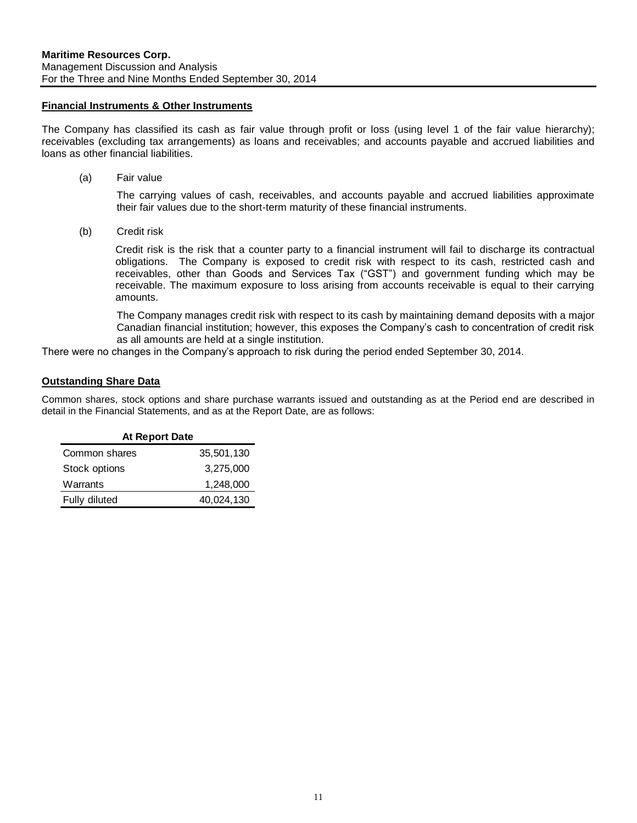#### **Financial Instruments & Other Instruments**

The Company has classified its cash as fair value through profit or loss (using level 1 of the fair value hierarchy); receivables (excluding tax arrangements) as loans and receivables; and accounts payable and accrued liabilities and loans as other financial liabilities.

(a) Fair value

The carrying values of cash, receivables, and accounts payable and accrued liabilities approximate their fair values due to the short-term maturity of these financial instruments.

(b) Credit risk

Credit risk is the risk that a counter party to a financial instrument will fail to discharge its contractual obligations. The Company is exposed to credit risk with respect to its cash, restricted cash and receivables, other than Goods and Services Tax ("GST") and government funding which may be receivable. The maximum exposure to loss arising from accounts receivable is equal to their carrying amounts.

The Company manages credit risk with respect to its cash by maintaining demand deposits with a major Canadian financial institution; however, this exposes the Company's cash to concentration of credit risk as all amounts are held at a single institution.

There were no changes in the Company's approach to risk during the period ended September 30, 2014.

#### **Outstanding Share Data**

Common shares, stock options and share purchase warrants issued and outstanding as at the Period end are described in detail in the Financial Statements, and as at the Report Date, are as follows:

| <b>At Report Date</b> |            |  |  |  |  |  |  |  |
|-----------------------|------------|--|--|--|--|--|--|--|
| Common shares         | 35,501,130 |  |  |  |  |  |  |  |
| Stock options         | 3,275,000  |  |  |  |  |  |  |  |
| Warrants              | 1,248,000  |  |  |  |  |  |  |  |
| Fully diluted         | 40,024,130 |  |  |  |  |  |  |  |